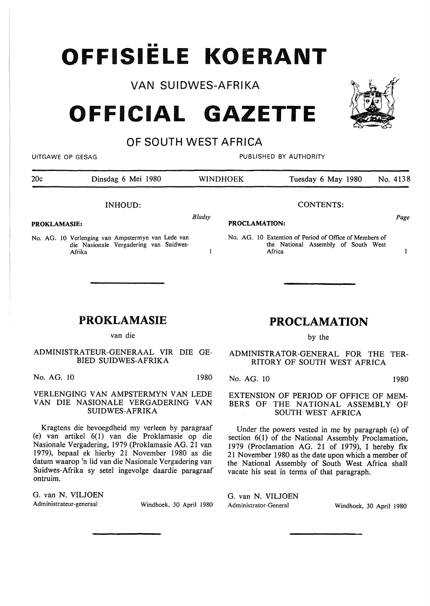# •• **OFFISIELE KOERANT**

VAN SUIDWES-AFRIKA

# **OFFICIAL GAZETTE**

## OF SOUTH WEST AFRICA

20c Dinsdag 6 Mei 1980 WINDHOEK Tuesday 6 May 1980 No. 4138 INHOUD: **PROKLAMASIE:**  *Bladsy*  CONTENTS: **PROCLAMATION:**  *Page* 

 $\mathbf{1}$ 

No. AG. 10 Verlenging van Ampstermyn van Lede van die Nasionale Vergadering van Suidwes-Afrika

## **PROKLAMASIE**

van die

ADMINISTRATEUR-GENERAAL VIR DIE GE-BIED SUIDWES-AFRIKA

No. AG. 10 1980

VERLENGING VAN AMPSTERMYN VAN LEDE VAN DIE NASIONALE VERGADERING VAN SUIDWES-AFRIKA

Kragtens die bevoegdheid my verleen by paragraaf (e) van artikel 6(1) van die Proklamasie op die Nasionale Vergadering, 1979 (Proklamasie AG. 21 van 1979), bepaal ek hierby 21 November 1980 as die datum waarop 'n lid van die Nasionale Vergadering van Suidwes-Afrika sy setel ingevolge daardie paragraaf ontruim.

G. van N. VILJOEN

Administrateur-generaal Windhoek, 30 April 1980

### **PROCLAMATION**

by the

ADMINISTRATOR-GENERAL FOR THE TER-RITORY OF SOUTH WEST AFRICA

No. AG. 10 1980

EXTENSION OF PERIOD OF OFFICE OF MEM-BERS OF THE NATIONAL ASSEMBLY OF SOUTH WEST AFRICA

Under the powers vested in me by paragraph (e) of section 6(1) of the National Assembly Proclamation, 1979 (Proclamation AG. 21 of 1979), I hereby fix 21 November 1980 as the date upon which a member of the National Assembly of South West Africa shall vacate his seat in terms of that paragraph.

G. van N. VILJOEN Administrator-General Windhoek, 30 April 1980

No. AG. 10 Extention of Period of Office of Members of the National Assembly of South West Africa

## UITGAWE OP GESAG PUBLISHED BY AUTHORITY



 $\mathbf{I}$